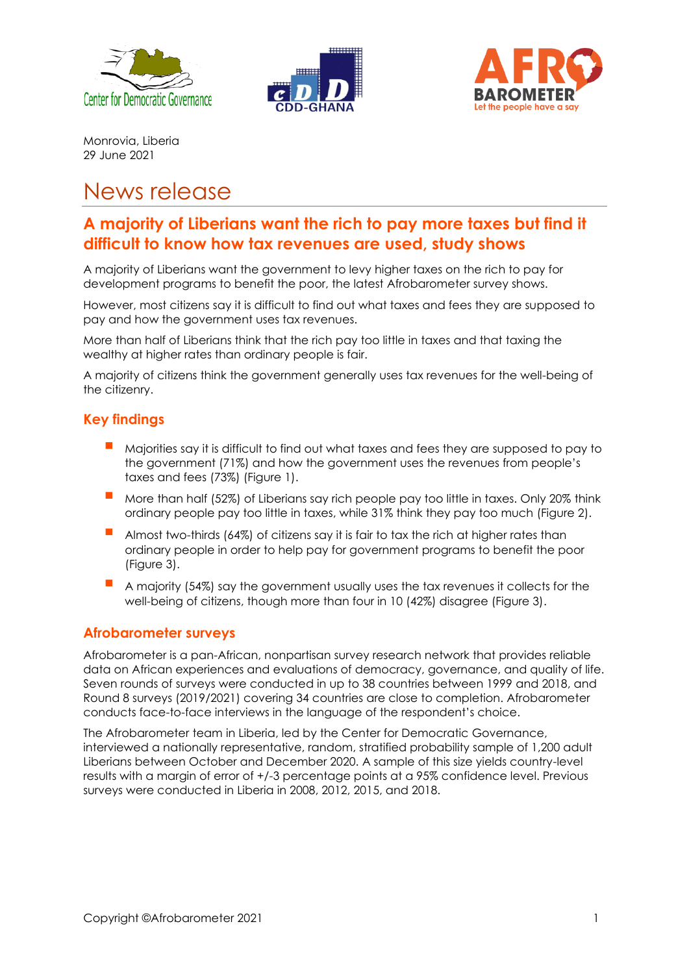





Monrovia, Liberia 29 June 2021

# News release

## **A majority of Liberians want the rich to pay more taxes but find it difficult to know how tax revenues are used, study shows**

A majority of Liberians want the government to levy higher taxes on the rich to pay for development programs to benefit the poor, the latest Afrobarometer survey shows.

However, most citizens say it is difficult to find out what taxes and fees they are supposed to pay and how the government uses tax revenues.

More than half of Liberians think that the rich pay too little in taxes and that taxing the wealthy at higher rates than ordinary people is fair.

A majority of citizens think the government generally uses tax revenues for the well-being of the citizenry.

#### **Key findings**

- Majorities say it is difficult to find out what taxes and fees they are supposed to pay to the government (71%) and how the government uses the revenues from people's taxes and fees (73%) (Figure 1).
- More than half (52%) of Liberians say rich people pay too little in taxes. Only 20% think ordinary people pay too little in taxes, while 31% think they pay too much (Figure 2).
- Almost two-thirds (64%) of citizens say it is fair to tax the rich at higher rates than ordinary people in order to help pay for government programs to benefit the poor (Figure 3).
- A majority (54%) say the government usually uses the tax revenues it collects for the well-being of citizens, though more than four in 10 (42%) disagree (Figure 3).

#### **Afrobarometer surveys**

Afrobarometer is a pan-African, nonpartisan survey research network that provides reliable data on African experiences and evaluations of democracy, governance, and quality of life. Seven rounds of surveys were conducted in up to 38 countries between 1999 and 2018, and Round 8 surveys (2019/2021) covering 34 countries are close to completion. Afrobarometer conducts face-to-face interviews in the language of the respondent's choice.

The Afrobarometer team in Liberia, led by the Center for Democratic Governance, interviewed a nationally representative, random, stratified probability sample of 1,200 adult Liberians between October and December 2020. A sample of this size yields country-level results with a margin of error of +/-3 percentage points at a 95% confidence level. Previous surveys were conducted in Liberia in 2008, 2012, 2015, and 2018.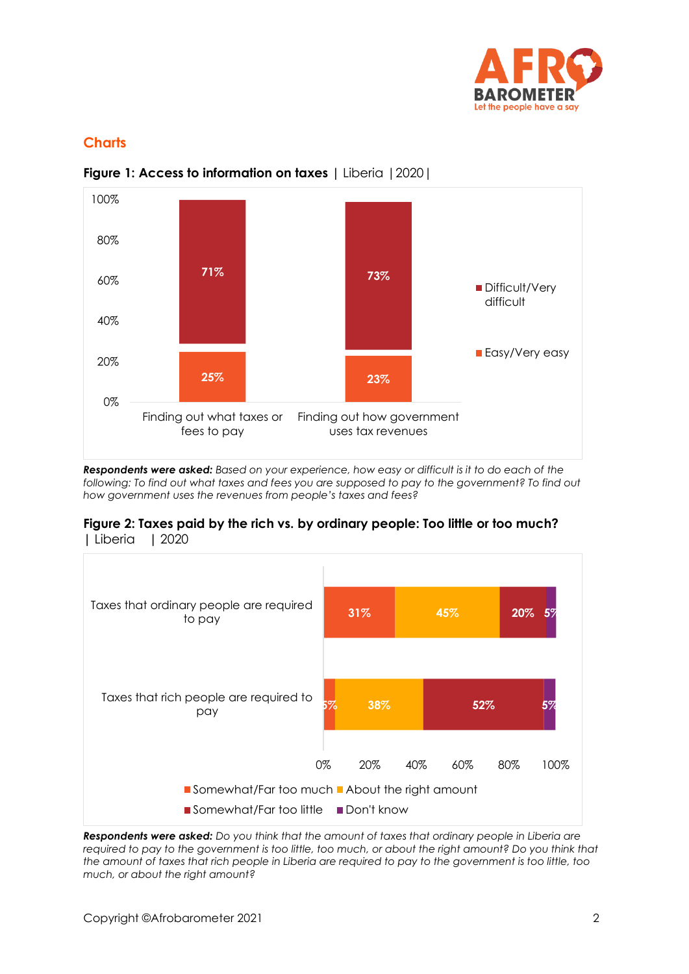

### **Charts**



**Figure 1: Access to information on taxes |** Liberia |2020|

*Respondents were asked: Based on your experience, how easy or difficult is it to do each of the following: To find out what taxes and fees you are supposed to pay to the government? To find out how government uses the revenues from people's taxes and fees?*





*Respondents were asked: Do you think that the amount of taxes that ordinary people in Liberia are*  required to pay to the government is too little, too much, or about the right amount? Do you think that *the amount of taxes that rich people in Liberia are required to pay to the government is too little, too much, or about the right amount?*